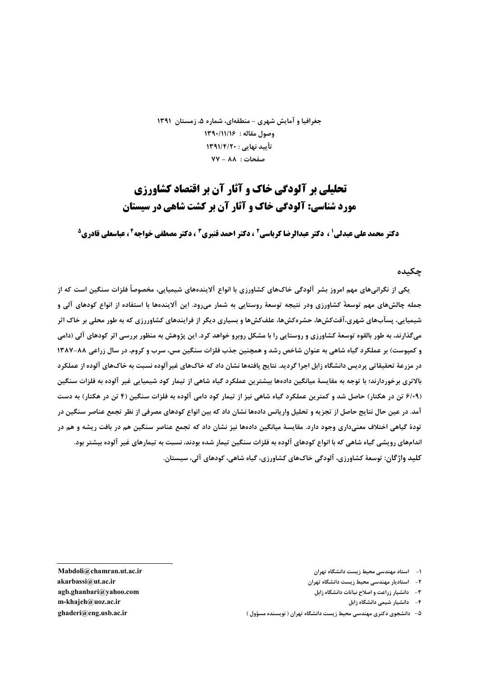جغرافیا و آمایش شهری – منطقهای، شماره ۵، زمستان ۱۳۹۱ وصول مقاله: ١٣٩٠/١١/١۶ تأييد نهايي : ١٣٩١/٤/٢٠ صفحات: ٨٨ - ٧٧

# **تحلیلی بر آلودگی خاک و آثار آن بر اقتصاد کشاورزی** مورد شناسی: آلودگی خاک و آثار آن بر کشت شاهی در سیستان

**دکتر محمد علی عبدلی' ، دکتر عبدالرضا کرباسی<sup>2</sup> ، دکتر احمد قنبری<sup>3</sup> ، دکتر مصطفی خواجه<sup>4</sup> ، عباسعلی قادری<sup>5</sup>** 

چکىدە

یکی از نگرانیهای مهم امروز بشر آلودگی خاکهای کشاورزی با انواع آلایندههای شیمیایی، مخصوصاً فلزات سنگین است که از جمله چالشهای مهم توسعهٔ کشاورزی ودر نتیجه توسعهٔ روستایی به شمار میرود. این آلایندهها با استفاده از انواع کودهای آلی و شیمیایی، پسآبهای شهری،آفتکشها، حشرهکشها، علفکشها و بسیاری دیگر از فرایندهای کشاوررزی که به طور محلی بر خاک اثر میگذارند، به طور بالقوه توسعهٔ کشاورزی و روستایی را با مشکل روبرو خواهد کرد. این پژوهش به منظور بررسی اثر کودهای آلی (دامی و کمپوست) بر عملکرد گیاه شاهی به عنوان شاخص رشد و همچنین جذب فلزات سنگین مس، سرب و کروم، در سال زراعی ۸۸-۱۳۸۷ در مزرعهٔ تحقیقاتی پردیس دانشگاه زابل اجرا گردید. نتایج یافتهها نشان داد که خاکهای غیر آلوده نسبت به خاکهای آلوده از عملکرد بالاتری برخوردارند؛ با توجه به مقایسهٔ میانگین دادهها بیشترین عملکرد گیاه شاهی از تیمار کود شیمیایی غیر آلوده به فلزات سنگین (۶/۰۹ تن در هکتار) حاصل شد و کمترین عملکرد گیاه شاهی نیز از تیمار کود دامی آلوده به فلزات سنگین (۴ تن در هکتار) به دست آمد. در عین حال نتایج حاصل از تجزیه و تحلیل واریانس دادهها نشان داد که بین انواع کودهای مصرفی از نظر تجمع عناصر سنگین در تودهٔ گیاهی اختلاف معنیداری وجود دارد. مقایسهٔ میانگین دادهها نیز نشان داد که تجمع عناصر سنگین هم در بافت ریشه و هم در اندامهای رویشی گیاه شاهی که با انواع کودهای آلوده به فلزات سنگین تیمار شده بودند، نسبت به تیمارهای غیر آلوده بیشتر بود. کلید واژگان: توسعهٔ کشاورزی، آلودگی خاکهای کشاورزی، گیاه شاهی، کودهای آلی، سیستان.

- ١- استاد مهندسي محيط زيست دانشگاه تهران
- ٢- استادیار مهندسی محیط زیست دانشگاه تهران
	- ۳- دانشیار زراعت و اصلاح نباتات دانشگاه زابل
		- ۴- دانشیار شیمی دانشگاه زابل
- ۵– دانشجوی دکتری مهندسی محیط زیست دانشگاه تهران ( نویسنده مسؤول )

Mabdoli@chamran.ut.ac.ir akarbassi@ut.ac.ir agb.ghanbari@yahoo.com m-khajeh@uoz.ac.ir ghaderi@eng.usb.ac.ir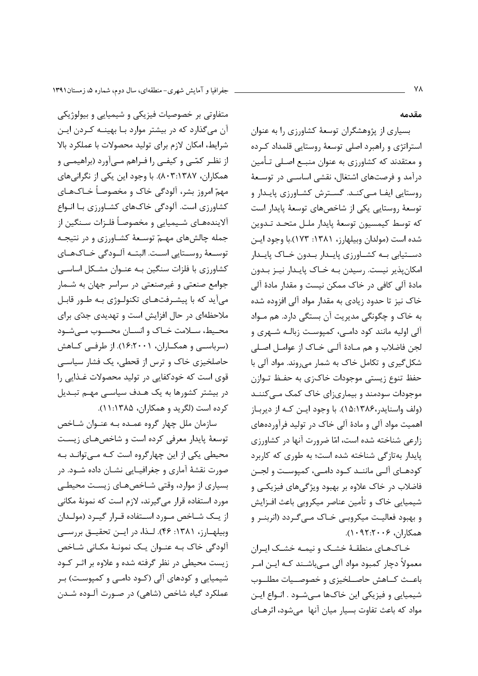جفرافیا و آمایش شهری-منطقهای، سال دوم، شماره ۵، زمستان۱۳۹۱

مقدمه

متفاوتی بر خصوصیات فیزیکی و شیمیایی و بیولوژیکی آن میگذارد که در بیشتر موارد بـا بهینــه کـردن ایــن شرايط، امكان لازم براي توليد محصولات با عملكرد بالا از نظـر كمّـى و كيفـى را فـراهم مـىآورد (براهيمـى و همکاران، ۸۰۳:۱۳۸۷). با وجود این یکی از نگرانیهای مهمّ امروز بشر، آلودگی خاک و مخصوصاً خـاکـهـای کشاورزی است. آلودگی خاکهای کشـاورزی بـا انـواع آلایندههـای شـیمیایی و مخصوصـاً فلـزات سـنگین از جمله چالشهای مهـمّ توسـعهٔ کشـاورزی و در نتیجـه توسـعهٔ روسـتايي اسـت. البتـه آلـودگي خـاکـهـاي کشاورزی با فلزات سنگین بـه عنـوان مشـکل اساسـی جوامع صنعتی و غیرصنعتی در سراسر جهان به شـمار میآید که با پیشـرفتهـای تکنولـوژی بـه طـور قابـل ملاحظهای در حال افزایش است و تهدیدی جدّی برای محيط، سـلامت خـاک و انسـان محسـوب مـىشـود (سرباسے) و همکــاران، ۱۶:۲۰۰۱). از طرفــی کــاهش حاصلخیزی خاک و ترس از قحطی، یک فشار سیاسی قوی است که خودکفایی در تولید محصولات غـذایی را در بیشتر کشورها به یک هـدف سیاسـی مهـم تبـدیل کرده است (لگرید و همکاران، ۱۳۸۵: ۱۱).

سازمان ملل چهار گروه عمـده بـه عنـوان شـاخص توسعهٔ پایدار معرفی کرده است و شاخصهای زیست محیطی یکی از این چهارگروه است کـه مـیتوانـد بـه صورت نقشهٔ آماری و جغرافیـایی نشـان داده شـود. در بسیاری از موارد، وقتی شاخصهای زیست محیطی مورد استفاده قرار میگیرند، لازم است که نمونهٔ مکانی از یـک شـاخص مـورد اسـتفاده قـرار گیـرد (مولـدان وبیلهارز، ۱۳۸۱: ۴۶). لـذا، در ایـن تحقیـق بررسـی آلودگی خاک بـه عنـوان یـک نمونـهٔ مکـانی شـاخص زیست محیطی در نظر گرفته شده و علاوه بر اثر کود شیمیایی و کودهای آلی (کـود دامـی و کمپوسـت) بـر عملکرد گیاه شاخص (شاهی) در صـورت آلـوده شـدن

بسیاری از پژوهشگران توسعهٔ کشاورزی را به عنوان استراتژی و راهبرد اصلی توسعهٔ روستایی قلمداد کرده و معتقدند که کشاورزی به عنوان منبـع اصـلی تـأمین درآمد و فرصتهای اشتغال، نقشی اساســی در توســعهٔ روستایی ایفـا مـیکنـد. گسـترش کشـاورزی پایـدار و توسعهٔ روستایی یکی از شاخصهای توسعهٔ پایدار است كه توسط كيمسيون توسعهٔ يايدار ملـل متحـد تـدوين شده است (مولدان وبیلهارز، ۱۳۸۱: ۱۷۳).با وجود ایـن دستیابی بـه کشـاورزی پایـدار بـدون خـاک پایـدار امکانپذیر نیست. رسیدن بـه خـاک پایـدار نیـز بـدون مادۂ آلی کافی در خاک ممکن نیست و مقدار مادۂ آلی خاک نیز تا حدود زیادی به مقدار مواد آلی افزوده شده به خاک و چگونگی مدیریت آن بستگی دارد. هم مـواد آلی اولیه مانند کود دامـی، کمیوسـت زبالـه شـهری و لجن فاضلاب و هم مـادهٔ آلـی خـاک از عوامـل اصـلی شکل گیری و تکامل خاک به شمار می روند. مواد آلی با حفظ تنوع زیستی موجودات خاکزی به حفـظ تـوازن موجودات سودمند و بیماری; ای خاک کمک مے کننـد (ولف واسنایدر،۱۳۸۶:۱۵). با وجود ایـن کـه از دیربـاز اهمیت مواد آلی و مادهٔ آلی خاک در تولید فرآوردههای زارعی شناخته شده است، امّا ضرورت آنها در کشاورزی پایدار بهتازگی شناخته شده است؛ به طوری که کاربرد کودهـای آلـی ماننــد کــود دامــی، کمیوســت و لجــن فاضلاب در خاک علاوه بر بهبود ویژگیهای فیزیکے و شیمیایی خاک و تأمین عناصر میکروبی باعث افـزایش و بهبود فعالیت میکروبی خـاک مـیگـردد (انربنـر و همكاران، ۲۰۰۶:۲۰۰۲).

خـاکـهـای منطقـهٔ خشـک و نیمـه خشـک ایـران معمولاً دچار کمبود مواد آلی مے،باشـند کـه ایـن امـر باعـث كـاهش حاصـلخيزى وخصوصـيات مطلـوب شیمیایی و فیزیکی این خاکها مےشود . انـواع ایـن مواد که باعث تفاوت بسیار میان آنها ٍمیشود، اثرهـای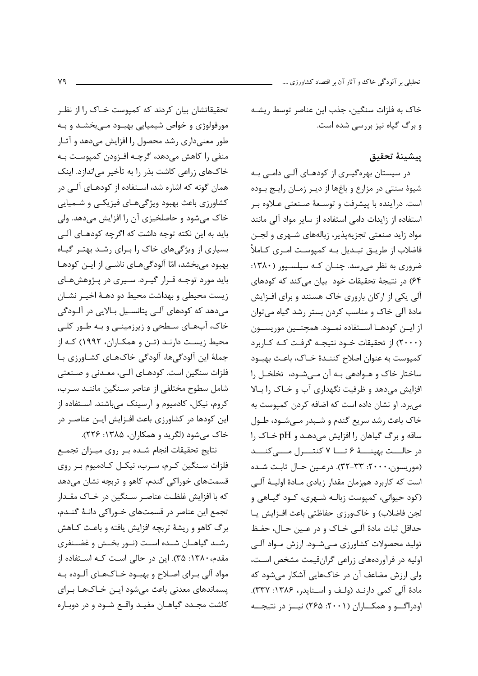تحلیلی بر آلودگی خاک و آثار آن بر اقتصاد کشاورزی ….

خاک به فلزات سنگین، جذب این عناصر توسط ریشـه و برگ گیاه نیز بررسی شده است.

## يبشينة تحقيق

در سیستان بهرهگیـری از کودهـای آلـی دامـی بـه شیوهٔ سنتی در مزارع و باغها از دیـر زمـان رایـج بـوده است. درآینده با پیشرفت و توسعهٔ صنعتی عـلاوه بـر استفاده از زایدات دامی استفاده از سایر مواد آلی مانند مواد زاید صنعتی تجزیهپذیر، زبالههای شـهری و لجـن فاضلاب از طریــق تبــدیل بــه کمیوســت امــری کــاملاً ضروری به نظر می رسد. چنان کـه سیلسـپور (١٣٨٠: ۶۴) در نتیجهٔ تحقیقات خود بیان میکند که کودهای آلی یکی از ارکان باروری خاک هستند و برای افـزایش مادهٔ آلی خاک و مناسب کردن بستر رشد گیاه می توان از ايــن كودهــا اســتفاده نمــود. همچنــين موريســون (۲۰۰۰) از تحقیقات خــود نتیجــه گرفـت کـه کــاربرد كمپوست به عنوان اصلاح كننـدهٔ خـاک، باعـث بهبـود ساختار خاک و هـوادهی بـه آن مـی شـود، تخلخـل را افزایش میدهد و ظرفیت نگهداری آب و خـاک را بـالا می برد. او نشان داده است که اضافه کردن کمپوست به خاک باعث رشد سریع گندم و شـبدر مـی شـود، طـول ساقه و برگ گیاهان را افزایش میدهد و pH خـاک را در حالـــت بهينـــــهٔ ۶ تــــا ۷ كنتــــرل مــــى كنــــد (موريسون، ٢٠٠٠: ٣٢-٣٢). درعـين حـال ثابت شـده است که کاربرد همزمان مقدار زیادی مـادهٔ اولیــهٔ آلـی (کود حیوانی، کمپوست زبالـه شـهری، کــود گیــاهی و لجن فاضلاب) وخاکورزی حفاظتی باعث افزایش پا حداقل ثبات مادهٔ آلبی خـاک و در عـین حـال، حفـظ تولید محصولات کشاورزی مےشسود. ارزش مـواد آلـی اولیه در فرآوردههای زراعی گرانقیمت مشخص است، ولی ارزش مضاعف آن در خاکـهایی آشکار می شود که مادة آلى كمى دارند (ولف و اسنايدر، ١٣٨۶: ٣٣٧). اودراگو و همکــاران (۲۰۰۱: ۲۶۵) نیــز در نتیجــه

تحقیقاتشان بیان کردند که کمپوست خـاک ,ا از نظـر مورفولوژی و خواص شیمیایی بهبود مےبخشد و بـه طور معنیداری رشد محصول را افزایش میدهد و آثـار منفي را كاهش مي‹هد، گرچـه افـزودن كمپوسـت بـه خاکهای زراعی کاشت بذر را به تأخیر می|ندازد. اینک همان گونه که اشاره شد، اسـتفاده از کودهـای آلـی در کشاورزی باعث بهبود ویژگیهای فیزیکی و شـمیایی خاک میشود و حاصلخیزی آن را افزایش میدهد. ولی باید به این نکته توجه داشت که اگرچه کودهـای آلـی بسیاری از ویژگیهای خاک را برای رشد بهتر گیاه بهبود می بخشد، امّا آلودگی هـای ناشـی از ایـن کودهـا باید مورد توجـه قـرار گیـرد. سـیری در پـژوهشهـای زیست محیطی و بهداشت محیط دو دهـهٔ اخیـر نشـان میدهد که کودهای آلبی پتانسـیل بـالایی در آلــودگی خاک، آبهای سطحی و زیرزمینـی و بـه طـور کلـی محیط زیست دارنـد (تـن و همکـاران، ۱۹۹۲) کـه از جملهٔ این آلودگیها، آلودگی خاکهـای کشـاورزی بـا فلزات سنگین است. کودهـای آلـی، معـدنی و صـنعتی شامل سطوح مختلفی از عناصر سـنگین ماننـد سـرب، کروم، نیکل، کادمیوم و آرسینک میباشند. استفاده از این کودها در کشاورزی باعث افـزایش ایـن عناصـر در خاک میشود (لگرید و همکاران، ۱۳۸۵: ۲۲۶).

نتايج تحقيقات انجام شده بر روى ميزان تجمع فلزات سـنگین كـرم، سـرب، نیكـل كـادمیوم بـر روی قسمتهای خوراکی گندم، کاهو و تربچه نشان میدهد که با افزایش غلظت عناصر سـنگین در خـاک مقـدار تجمع این عناصر در قسمتهای خـوراکی دانـهٔ گنـدم، برگ کاهو و ریشهٔ تربچه افزایش یافته و باعث کـاهش رشـد گیاهـان شـده اسـت (نـور بخـش و غضـنفری مقدم، ۱۳۸۰: ۳۵). این در حالی است کـه اسـتفاده از مواد آلي بـراي اصـلاح و بهبـود خـاکـهـاي آلـوده بـه پسماندهای معدنی باعث میشود ایـن خـاکـهـا بـرای کاشت مجـدد گیاهـان مفیـد واقـع شـود و در دوبـاره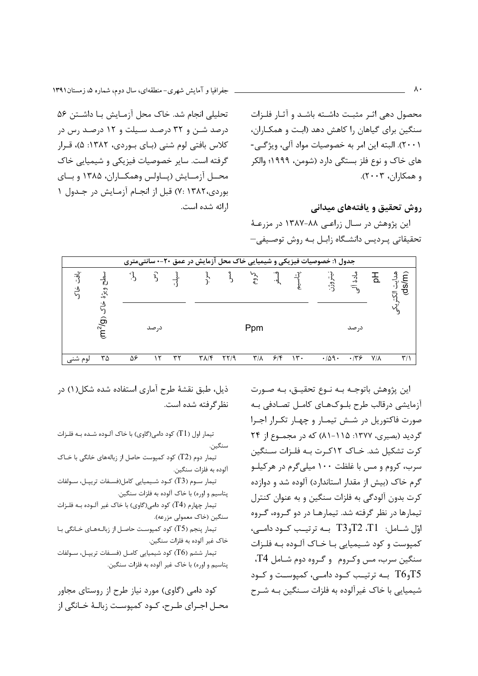تحليلي انجام شد. خاک محل آزمـايش بـا داشـتن ۵۶ درصد شـن و ۳۲ درصـد سـیلت و ۱۲ درصـد رس در کلاس بافتی لوم شنی (بیای بیوردی، ۱۳۸۲: ۵)، قبرار گرفته است. سایر خصوصیات فیزیکی و شیمیایی خاک محــل آزمــايش (پــاولس وهمكــاران، ۱۳۸۵ و بــاي بوردي،١٣٨٢ :٧) قبل از انجـام آزمـايش در جـدول ١ ا,ائه شده است.

محصول دهی اثـر مثبـت داشـته باشـد و آثـار فلـزات سنگین برای گیاهان را کاهش دهد (ابت و همکـاران، ٢٠٠١). البته اين امر به خصوصيات مواد آلي، ويژگــي-های خاک و نوع فلز بستگی دارد (شومن، ۱۹۹۹؛ والکر و همكاران، ٢٠٠٣).

روش تحقیق و یافتههای میدانی

این پژوهش در سـال زراعـی ۸۸-۱۳۸۷ در مزرعـهٔ تحقیقاتی پردیس دانشگاه زابـل بـه روش توصـیفی–

|                                 |                                |                 |       |    |                           |                |                         |                     |                 | جدول ۱: خصوصیات فیزیکی و شیمیایی خاک محل آزمایش در عمق ۲۰-۰ سانتیمتری |             |             |                           |
|---------------------------------|--------------------------------|-----------------|-------|----|---------------------------|----------------|-------------------------|---------------------|-----------------|-----------------------------------------------------------------------|-------------|-------------|---------------------------|
| $\vec{a}$<br>$\cdot$ $\sqrt{ }$ | ويژهٔ                          | $\mathcal{E}^*$ | 3     |    |                           | $\mathfrak{z}$ | ふ                       | $\cdot \frac{1}{2}$ |                 | وژن<br>ف                                                              | 3           | ᄒ           | هدايت الا<br>(ds/m<br>ង្ក |
|                                 | ۰۸<br>ជ<br>(m <sup>2</sup> /g) |                 | د, صد |    |                           |                | Ppm                     |                     |                 |                                                                       | در صد       |             |                           |
| لوم شنی                         | ٣۵                             | ۵۶              |       | ٣٢ | $\tau$ $\lambda$ / $\tau$ | $\frac{1}{4}$  | $\mathsf{r}/\mathsf{v}$ | ۶۱۴                 | $\mathcal{N}$ . | .709.                                                                 | $\cdot$ /٣۶ | $V/\lambda$ | $\mathbf{r}/\mathbf{r}$   |

اين پژوهش باتوجـه بـه نـوع تحقيـق، بـه صـورت آزمایشی درقالب طرح بلـوکھـای کامـل تصـادفی بـه صورت فاکتوریل در شش تیمـار و چهـار تکـرار اجـرا گردید (بصیری، ۱۳۷۷: ۱۵–۸۱) که در مجمـوع از ۲۴ کرت تشکیل شد. خـاک ۱۲کـرت بـه فلـزات سـنگین سرب، کروم و مس با غلظت ۱۰۰ میلی گرم در هرکیلـو گرم خاک (بیش از مقدار استاندارد) آلوده شد و دوازده کرت بدون آلودگی به فلزات سنگین و به عنوان کنترل تیمارها در نظر گرفته شد. تیمارهـا در دو گـروه، گـروه  $\sim$ اوّل شــامل: T2 ،T1، وT3 بــه ترتيـب كــود دامــى كمپوست و كود شـيميايي بـا خـاک آلـوده بـه فلـزات سنگین سرب، مس وکروم و گروه دوم شـامل T4،  $\sim 75$ و T6 بــه ترتیــب کــود دامــی، کمیوســت و کــود T6 شیمیایی با خاک غیرآلوده به فلزات سـنگین بـه شـرح

ذیل، طبق نقشهٔ طرح آماری استفاده شده شکل(۱) در نظر گرفته شده است.

تیمار اول (T1) کود دامی(گاوی) با خاک آلـوده شـده بـه فلـزات سنگين. تیمار دوم (T2) کود کمپوست حاصل از زبالههای خانگی با خـاک آلوده به فلزات سنگين. تیمار سـوم (T3) کـود شـیمیایی کامل(فسـفات تریپـل، سـولفات پتاسيم و اوره) با خاک آلوده به فلزات سنگين. تیمار چهارم (T4) کود دامی(گاوی) با خاک غیر آلـوده بـه فلـزات سنگین (خاک معمولی مزرعه). تیمار پنجم (T5) کود کمپوست حاصل از زبالـههـای خـانگی بـا خاک غیر آلوده به فلزات سنگین. تیمار ششم (T6) کود شیمیایی کامـل (فسـفات تریپــل، سـولفات پتاسيم و اوره) با خاک غير آلوده به فلزات سنگين.

کود دامی (گاوی) مورد نیاز طرح از روستای مجاور محـل اجـراي طـرح، كـود كميوسـت زبالـهٔ خـانگي از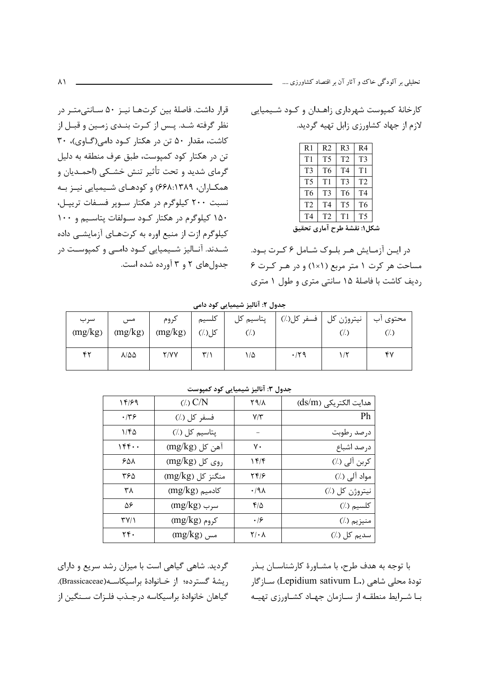قرار داشت. فاصلهٔ بین کرتهـا نیـز ۵۰ سـانتیمتـر در نظر گرفته شـد. پـس از كـرت بنـدى زمـين و قبـل از کاشت، مقدار ۵۰ تن در هکتار کود دامی(گاوی)، ۳۰ تن در هکتار کود کمپوست، طبق عرف منطقه به دلیل گرمای شدید و تحت تأثیر تنش خشـکی (احمـدیان و همکـاران، ۶۶۸:۱۳۸۹) و کودهـای شـیمیایی نیـز بـه نسبت ۲۰۰ کیلوگرم در هکتار سـوپر فسـفات تریپـل، ۱۵۰ کیلوگرم در هکتار کـود سـولفات پتاسـیم و ۱۰۰ کیلوگرم ازت از منبع اوره به کرتهـای آزمایشــی داده شـدند. آنــاليز شــيميايي كــود دامــي و كمپوســت در جدول های ۲ و ۳ آورده شده است. کارخانهٔ کمپوست شهرداری زاهـدان و کـود شـیمیایی لازم از جهاد کشاورزی زابل تهیه گردید.

| R <sub>1</sub>              | R <sub>2</sub> | R <sub>3</sub> | R <sub>4</sub> |  |  |  |  |
|-----------------------------|----------------|----------------|----------------|--|--|--|--|
| T <sub>1</sub>              | T <sub>5</sub> | T <sub>2</sub> | T <sub>3</sub> |  |  |  |  |
| T <sub>3</sub>              | T <sub>6</sub> | T <sub>4</sub> | T1             |  |  |  |  |
| T <sub>5</sub>              | T1             | T <sub>3</sub> | T <sub>2</sub> |  |  |  |  |
| T <sub>6</sub>              | T3             | T <sub>6</sub> | T <sub>4</sub> |  |  |  |  |
| T <sub>2</sub>              | T4             | T <sub>5</sub> | T <sub>6</sub> |  |  |  |  |
| T <sub>4</sub>              | T <sub>2</sub> | T1             | T <sub>5</sub> |  |  |  |  |
| شكل۱: نقشهٔ طرح آماری تحقیق |                |                |                |  |  |  |  |

در ایــن آزمــایش هــر بلــوک شــامل ۶ کــرت بــود. مساحت هر کرت ۱ متر مربع (۱×۱) و در هـر کـرت ۶ رديف كاشت با فاصلهٔ ۱۵ سانتي متري و طول ۱ متري

|                |                        |                 |                         | - - - - -<br>- -                     |             |                    |                  |
|----------------|------------------------|-----------------|-------------------------|--------------------------------------|-------------|--------------------|------------------|
| سرب<br>(mg/kg) | مس<br>(mg/kg)          | كروم<br>(mg/kg) | كلسيم<br>کل(./)         | پتاسیم کل<br>$\langle \cdot \rangle$ | فسفر كل(./) | نيتروژن کل<br>(/.) | محتوى آب<br>(/.) |
| ۴۲             | $\lambda/\Delta\Delta$ | <b>Y/YY</b>     | $\mathbf{y}/\mathbf{y}$ | ۱۵                                   | $\cdot$ /۲۹ | ۱/۲                | ۴۷               |

|  | جدول ۲: انالیز شیمیایی کود دامی |  |  |  |
|--|---------------------------------|--|--|--|
|--|---------------------------------|--|--|--|

|                       |                         | ب-رن- المستعمل المستعمل المستقرض المستقرض  |                       |
|-----------------------|-------------------------|--------------------------------------------|-----------------------|
| 14/99                 | $(1)$ $C/N$             | 89/8                                       | هدايت الكتريكي (ds/m) |
| .149                  | فسفر كل (٪)             | $Y/\tilde{Y}$                              | Ph                    |
| ۱۱۴۵                  | پتاسيم كل (٪)           |                                            | درصد رطوبت            |
| ۱۴۴۰۰                 | $\text{(mg/kg)}$ آهن کل | ٧٠                                         | درصد اشباع            |
| ۶۵۸                   | روی کل (mg/kg)          | ۱۴۱۴                                       | کربن آلی (./)         |
| ۳۶۵                   | منگنز کل (mg/kg)        | ۲۴۱۶                                       | مواد آلی (./)         |
| ۳λ                    | $(mg/kg)$ کادمیم        | ۰/۹۸                                       | نيتروژن كل (٪)        |
| ۵۶                    | $(mg/kg)$ سرب           | ۴۱۵                                        | كلسيم (٪)             |
| $\Upsilon V/\Upsilon$ | کروم (mg/kg)            | $\cdot$ /۶                                 | منيزيم (٪)            |
| ٢۴٠                   | $(mg/kg)$ مس            | $\mathsf{Y}/\boldsymbol{\cdot} \mathsf{A}$ | سديم کل (٪)           |

جدول ٣: آنالیز شیمیایی کود کمپوست

گردید. شاهی گیاهی است با میزان رشد سریع و دارای ريشة گسترده؛ از خـانوادة براسيكاسـه(Brassicaceae). گیاهان خانوادهٔ براسیکاسه درجـذب فلـزات سـنگین از

با توجه به هدف طرح، با مشـاورهٔ کارشناسـان بـذر تودۂ محلی شاهی (.Lepidium sativum L) سـازگار با شرایط منطقه از سازمان جهاد کشاورزی تهیه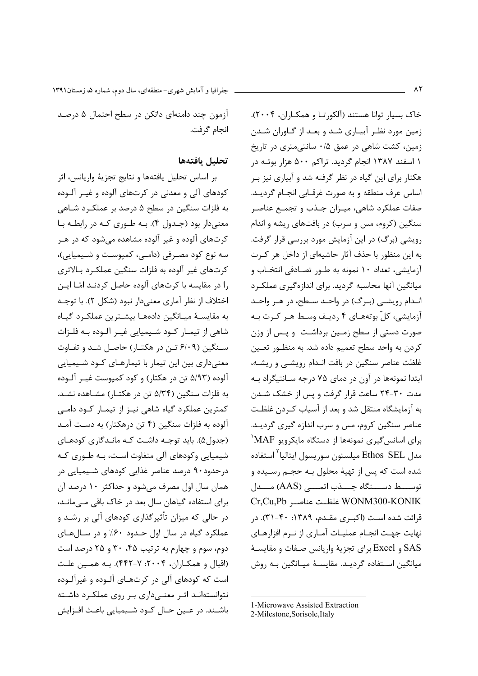آزمون چند دامنهای دانکن در سطح احتمال ۵ درصد انجام گرفت.

#### تحليل بافتهها

بر اساس تحليل يافتهها و نتايج تجزيهٔ واريانس، اثر کودهای آلی و معدنی در کرتهای آلوده و غیـر آلـوده به فلزات سنگین در سطح ۵ درصد بر عملک رد شـاهی معنی دار بود (جـدول ۴). بـه طـوری کـه در رابطـه بـا کرتهای آلوده و غیر آلوده مشاهده می شود که در هـر سه نوع کود مصرفی (دامے، کمپوست و شیمیایی)، کرتهای غیر آلوده به فلزات سنگین عملک رد بـالاتری را در مقایسه با کرتهای آلوده حاصل کردنـد امّـا ایـن اختلاف از نظر آماري معنيدار نبود (شكل ٢). با توجـه به مقايسـهٔ ميـانگين دادههـا بيشــترين عملكـرد گيـاه شاهی از تیمـار کــود شــیمیایی غیــر آلــوده بــه فلــزات سـنگین (۶/۰۹ تـن در هکتـار) حاصـل شـد و تفـاوت معنیداری بین این تیمار با تیمارهـای کـود شـیمیایی آلوده (۵/۹۳ تن در هکتار) و کود کمپوست غیـر آلـوده به فلزات سنگین (۵/۳۴ تن در هکتـار) مشـاهده نشـد. کمترین عملکرد گیاه شاهی نیـز از تیمـار کـود دامـی آلوده به فلزات سنگین (۴ تن درهکتار) به دست آمـد (جدول۵). باید توجـه داشـت کـه مانـدگاری کودهـای شیمیایی وکودهای آلی متفاوت است، بـه طـوری کـه درحدود۹۰ درصد عناصر غذایی کودهای شـیمیایی در همان سال اول مصرف می شود و حداکثر ۱۰ درصد آن برای استفاده گیاهان سال بعد در خاک باقی مـیمانـد، در حالی که میزان تأثیرگذاری کودهای آلی بر رشـد و عملکرد گیاه در سال اول حـدود ۶۰٪ و در سـالهای دوم، سوم و چهارم به ترتیب ۴۵، ۳۰ و ۲۵ درصد است (اقبال و همكـاران، ۲۰۰۴: ۷-۴۴۲). بـه همـين علـت است که کودهای آلی در کرتهـای آلـوده و غیرآلـوده نتوانستهانـد اثـر معنـی۱۵اری بـر روی عملکـرد داشـته باشـند. در عـين حـال كـود شـيميايي باعـث افـزايش

خاک بسیار توانا هستند (آلکورتـا و همکـاران، ۲۰۰۴). زمین مورد نظر آبیاری شد و بعد از گـاوران شـدن زمین، کشت شاهی در عمق ۰/۵ سانتی متری در تاریخ ۱ اسفند ۱۳۸۷ انجام گردید. تراکم ۵۰۰ هزار بوتـه در هکتار برای این گیاه در نظر گرفته شد و آبیاری نیز ب اساس عرف منطقه و به صورت غرقـابي انجـام گرديـد. صفات عملکرد شاهی، میـزان جـذب و تجمـع عناصـر سنگین (کروم، مس و سرب) در بافتهای ریشه و اندام رویشی (برگ) در این آزمایش مورد بررسی قرار گرفت. به این منظور با حذف آثار حاشیهای از داخل هر کـرت آزمایشی، تعداد ۱۰ نمونه به طـور تصـادفی انتخـاب و میانگین آنها محاسبه گردید. برای اندازهگیری عملک د انـدام رويشـي (بـرگ) در واحـد سـطح، در هـر واحـد آزمایشی، کلّ بوتههـای ۴ ,دیـف وسـط هـر کـرت بـه صورت دستی از سطح زمـین برداشـت و پـس از وزن كردن به واحد سطح تعميم داده شد. به منظـور تعــين غلظت عناصر سنگین در بافت انـدام رویشـی و ریشـه، ابتدا نمونهها در آون در دمای ۷۵ درجه سـانتیگراد بـه مدت ۳۰-۲۴ ساعت قرار گرفت و پس از خشک شـدن به آزمایشگاه منتقل شد و بعد از آسیاب کـردن غلظـت عناصر سنگین کروم، مس و سرب اندازه گیری گردیـد.  $^{\backprime}$ MAF برای اسانس گیری نمونهها از دستگاه مایکرویو مدل Ethos SEL میلستون سوریسول ایتالیا<sup>۲</sup> استفاده شده است که پس از تهیهٔ محلول بـه حجـم رسـیده و توســـط دســـتگاه جـــذب اتمــــى (AAS) مـــدل Cr,Cu,Pb غلظت عناصر WONM300-KONIK قرائت شده است (اکبوی مقـدم، ۱۳۸۹: ۴۰-۳۱). در نهایت جهت انجـام عملیـات آمـاری از نـرم افزارهـای SAS و Excel براي تجزيهٔ واريانس صـفات و مقايســهٔ میانگین استفاده گردیـد. مقایسـهٔ میـانگین بـه روش

<sup>1-</sup>Microwave Assisted Extraction

<sup>2-</sup>Milestone, Sorisole, Italy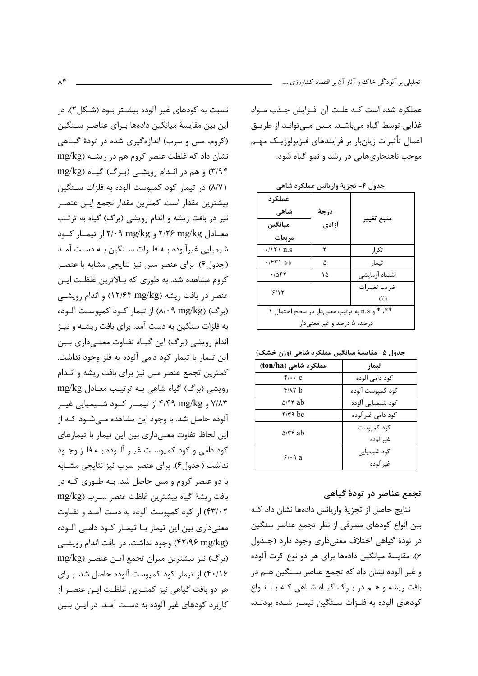عملکرد شده است کـه علـت آن افـزایش جـذب مـواد غذایی توسط گیاہ میباشـد. مـس مـی توانـد از طریـق اعمال تأثيرات زيان،ار بر فرايندهاي فيزيولوژيـک مهـم موجب ناهنجاریهایی در رشد و نمو گیاه شود.

|  | جدول ۴- تجزیهٔ واریانس عملکرد شاهی |  |  |
|--|------------------------------------|--|--|
|  |                                    |  |  |

| عملکر د                  |                            |                                              |
|--------------------------|----------------------------|----------------------------------------------|
| شاهی                     | درجة                       |                                              |
| ميانگين                  | آزادي                      | منبع تغيير                                   |
| مربعات                   |                            |                                              |
| $\cdot$ / $\uparrow$ n.s | ٣                          | تک ا,                                        |
| $\cdot$ /۴۳۱ **          | ۵                          | تيمار                                        |
| .7887                    | ۱۵                         | اشتباه آزمايشى                               |
| 5/15                     |                            | ضريب تغييرات                                 |
|                          |                            | $\left(\frac{7}{2}\right)$                   |
|                          |                            | **، * و n.s به ترتيب معنىدار در سطح احتمال ١ |
|                          | درصد، ۵ درصد و غیر معنیدار |                                              |

جدول ۵- مقایسهٔ میانگین عملکرد شاهی (وزن خشک)

| عملکرد شاهی (ton/ha) | تىمار              |
|----------------------|--------------------|
| $f$ . $c$            | کود دامی آلوده     |
| $f/(\lambda)$        | كود كميوست آلوده   |
| $\Delta$ /۹۳ ab      | کود شیمیایی آلوده  |
| $f/T$ bc             | کود دامی غیر آلوده |
| $\Delta$ /۳۴ ab      | کود کمپوست         |
|                      | غير آلوده          |
| 9.4a                 | کود شیمیایی        |
|                      | غير الوده          |

## تجمع عناصر در تودهٔ گیاهی

نتايج حاصل از تجزيهٔ واريانس دادهها نشان داد كـه بين انواع كودهاي مصرفي از نظر تجمع عناصر سنگين در تودهٔ گیاهی اختلاف معنیداری وجود دارد (جـدول ۶). مقایسهٔ میانگین دادهها برای هر دو نوع کرت آلوده و غیر آلوده نشان داد که تجمع عناصر سـنگین هـم در بافت ریشه و هـم در بـرگ گیـاه شـاهی کـه بـا انـواع كودهاي آلوده به فلـزات سـنگين تيمـار شـده بودنـد،

نسبت به کودهای غیر آلوده بیشـتر بـود (شـکل۲). در این بین مقایسهٔ میانگین دادهها بـرای عناصـر سـنگین (کروم، مس و سرب) اندازهگیری شده در تودهٔ گیـاهی نشان داد که غلظت عنصر کروم هم در ریشـه (mg/kg ٣/٩۴) و هم در انـدام رويشـي (بـرگ) گيـاه (mg/kg ٨/٧١) در تیمار کود کمپوست آلوده به فلزات سـنگین بيشترين مقدار است. كمترين مقدار تجمع ايـن عنصـر نیز در بافت ریشه و اندام رویشی (برگ) گیاه به ترتب معیادل ۲/۲۶ mg/kg و ۲/۰۹ mg/kg از تیمیار کنود شیمیایی غیرآلوده بـه فلـزات سـنگین بـه دسـت آمـد (جدول۶). برای عنصر مس نیز نتایجی مشابه با عنصـر کروم مشاهده شد. به طوری که بـالاترین غلظـت ایـن عنصر در بافت ریشه (۱۲/۶۴ mg/kg) و اندام رویشبی (برگ) (۸/۰۹ mg/kg) از تیمار کــود کمپوسـت آلــوده به فلزات سنگین به دست آمد. برای بافت ریشـه و نیـز اندام رویشی (برگ) این گیـاه تفـاوت معنـیداری بـین این تیمار با تیمار کود دامی آلوده به فلز وجود نداشت. كمترين تجمع عنصر مس نيز براي بافت ريشه و انــدام رویشی (برگ) گیاه شاهی بـه ترتیب معـادل mg/kg ۷/۸۳ و ۴/۴۹ mg/kg از تیمــار کــود شــیمیایی غیــر آلوده حاصل شد. با وجود این مشاهده مـی شـود کـه از این لحاظ تفاوت معنیداری بین این تیمار با تیمارهای کود دامی و کود کمپوست غیـر آلـوده بـه فلـز وجـود نداشت (جدول ۶). برای عنصر سرب نیز نتایجی مشـابه با دو عنصر کروم و مس حاصل شد. بـه طـوری کـه در بافت ريشة كياه بيشترين غلظت عنصر سـرب (mg/kg ۴۳/۰۲) از کود کمپوست آلوده به دست آمـد و تفـاوت معنیداری بین این تیمار بـا تیمـار کــود دامــی آلــوده (۴۲/۹۶ mg/kg) وجود نداشت. در بافت اندام رویشی (برگ) نیز بیشترین میزان تجمع ایـن عنصـر (mg/kg ۴۰/۱۶) از تیمار کود کمیوست آلوده حاصل شد. برای هر دو بافت گیاهی نیز کمتـرین غلظـت ایـن عنصـر از کاربرد کودهای غیر آلوده به دست آمـد. در ایـن بـین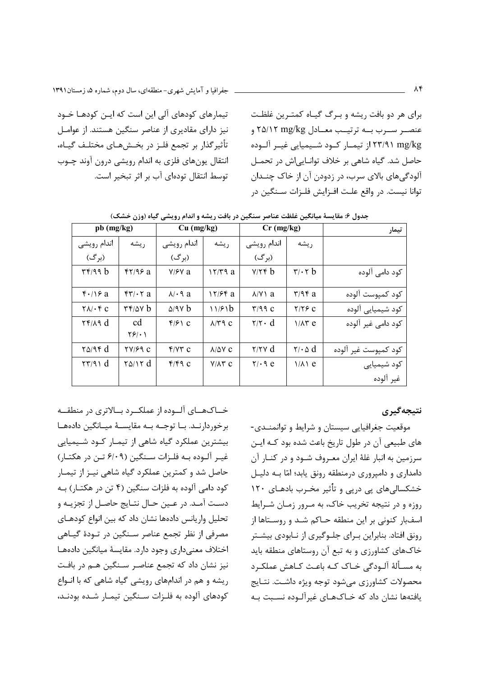برای هر دو بافت ریشه و بـرگ گیـاه کمتـرین غلظـت عنصـر ســرب بــه ترتيــب معــادل ۲۵/۱۲ mg/kg و ۲۳/۹۱ mg/kg از تیمــار کــود شــیمیایی غیــر آلــوده حاصل شد. گیاه شاهی بر خلاف توانایی اش در تحمـل آلودگیهای بالای سرب، در زدودن آن از خاک چنـدان توانا نيست. در واقع علـت افـزايش فلـزات سـنگين در

تیمارهای کودهای آلی این است که ایـن کودهـا خـود نیز دارای مقادیری از عناصر سنگین هستند. از عوامل تأثير گذار بر تجمع فلـز در بخــش@اي مختلـف گيــاه، انتقال یونهای فلزی به اندام رویشی درون آوند چـوب توسط انتقال تودهای آب بر اثر تبخیر است.

| تيمار                | $Cr$ (mg/kg)                                  |                                        |                      | $Cu$ (mg/kg)          |                     | pb (mg/kg)                                          |
|----------------------|-----------------------------------------------|----------------------------------------|----------------------|-----------------------|---------------------|-----------------------------------------------------|
|                      | ريشه                                          | اندام رويشي                            | ريشه                 | اندام رويشي           | ريشه                | اندام رويشي                                         |
|                      |                                               | (برگ)                                  |                      | (برگ)                 |                     | (برگ)                                               |
| کود دامی آلوده       | $\mathbf{r}/\mathbf{r}$ b                     | $Y/Y \notin b$                         | 17/79a               | $Y$ / $Y$ a           | $f\$ 7/95a          | $\mathbf{r}$ $\mathbf{r}$ $\mathbf{r}$ $\mathbf{r}$ |
| كود كميوست آلوده     | $\mathbf{r}/\mathbf{q}\mathbf{r}$ a           | $\lambda$ / $\lambda$ a                | $17/56$ a            | $\lambda$ $\cdot$ 9 a | $f'' + f a$         | $f'/\gamma a$                                       |
| کود شیمیایی آلوده    | $Y/Y$ C                                       | $\Gamma/99$ C                          | 11/81b               | $\Delta$ /98 b        | rr/av b             | $\Upsilon \Lambda / \cdot \Upsilon$ C               |
| کود دامے غیر آلودہ   | $1/\lambda$ ۳e                                | $\mathbf{Y}/\mathbf{Y}\cdot\mathbf{d}$ | $\lambda$ /۳۹ $c$    | $f/f \cap C$          | cd<br>$\frac{5}{2}$ | $\mathbf{Y} \mathbf{Y} / \mathbf{A} \mathbf{d}$     |
| كود كميوست غير آلوده | $\mathbf{Y}/\cdot \mathbf{\Delta} \mathbf{d}$ | $\gamma/\gamma \gamma$ d               | $\lambda/\Delta V$ C | $f/Y$ r c             | TY/59C              | $\gamma$ $\alpha$ /9 $\gamma$ d                     |
| کود شیمیایی          | $1/\lambda$ e                                 | $Y/\cdot$ 9 e                          | $V/\Lambda$ ۳ C      | f/fq                  | $\gamma_0/\gamma d$ | $\tau\tau/9$ d                                      |
| غير آلوده            |                                               |                                        |                      |                       |                     |                                                     |

جدول ۶: مقایسهٔ میانگین غلظت عناصر سنگین در بافت ریشه و اندام رویشی گیاه (وزن خشک)

نتىجەگىرى

موقعیت جغرافیایی سیستان و شرایط و توانمنـدی-های طبیعی آن در طول تاریخ باعث شده بود کـه ایـن سرزمین به انبار غلهٔ ایران معـروف شـود و در کنـار آن دامداری و دامپروری درمنطقه رونق یابد؛ امّا بـه دلیـل خشکسالی های یی دریی و تأثیر مخـرب بادهـای ۱۲۰ روزه و در نتیجه تخریب خاک، به مـرور زمـان شـرایط اسفبار کنونی بر این منطقه حـاکم شـد و روسـتاها از رونق افتاد. بنابراین بـرای جلـوگیری از نـابودی بیشـتر خاکهای کشاورزی و به تبع آن روستاهای منطقه باید به مسألهٔ آلـودگی خـاک کـه باعـث کـاهش عملکـرد محصولات كشاورزي مىشود توجه ويژه داشت. نتـايج یافتهها نشان داد که خـاکهـای غیرآلـوده نسـبت بـه

خــاکهــای آلــوده از عملکــرد بــالاتری در منطقــه برخوردارنــد. بــا توجــه بــه مقايســهٔ ميــانگين دادههــا بیشترین عملکرد گیاه شاهی از تیمـار کـود شـیمیایی غيـر آلـوده بـه فلـزات سـنگين (۶/۰۹ تـن در هكتـار) حاصل شد و کمترین عملکرد گیاه شاهی نیـز از تیمـار کود دامی آلوده به فلزات سنگین (۴ تن در هکتـار) بـه دست آمـد. در عـين حـال نتـايج حاصـل از تجزيـه و تحلیل واریانس دادهها نشان داد که بین انواع کودهـای مصرفی از نظر تجمع عناصر سـنگین در تـودهٔ گیـاهی اختلاف معنى دارى وجود دارد. مقايسهٔ ميانگين دادههـا نیز نشان داد که تجمع عناصر سـنگین هـم در بافت ریشه و هم در اندامهای رویشی گیاه شاهی که با انواع كودهاي آلوده به فلـزات سـنگين تيمـار شـده بودنـد،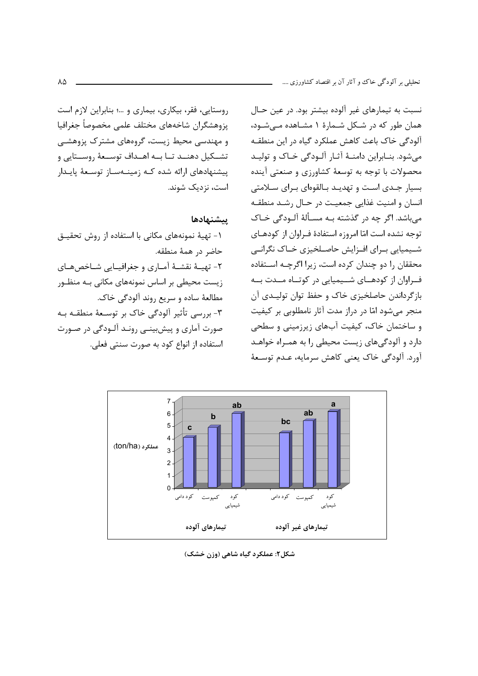روستایی، فقر، بیکاری، بیماری و ...؛ بنابراین لازم است يزوهشگران شاخههاي مختلف علمي مخصوصاً جغرافيا و مهندسی محیط زیست، گروههای مشترک پزوهشـی تشــكيل دهنــد تــا بــه اهــداف توســعهٔ روســتايي و ییشنهادهای ارائه شده کـه زمینـهسـاز توسـعهٔ یایـدار است، نزدیک شوند.

ييشنهادها

١- تهيهٔ نمونههاي مكاني با استفاده از روش تحقيـق حاضر در همهٔ منطقه. ٢- تهيــۀ نقشــۀ آمــاري و جغرافيــايي شــاخصهــاي زیست محیطی بر اساس نمونههای مکانی بـه منظـور مطالعهٔ ساده و سریع روند آلودگی خاک. ۳- بررسی تأثیر آلودگی خاک بر توسـعهٔ منطقـه بـه صورت آماري و پيشبيني رونـد آلـودگي در صـورت استفاده از انواع کود به صورت سنتی فعلی.

نسبت به تیمارهای غیر آلوده بیشتر بود. در عین حال همان طور که در شکل شـمارهٔ ۱ مشـاهده مـیشـود، آلودگی خاک باعث کاهش عملکرد گیاه در این منطقـه می شود. بنـابراین دامنـهٔ آثـار آلـودگی خـاک و تولیـد محصولات با توجه به توسعهٔ کشاورزی و صنعتی آینده بسیار جدی است و تهدیـد بـالقوهای بـرای سـلامتی انسان و امنیت غذایی جمعیت در حـال رشـد منطقـه میباشد. اگر چه در گذشته بـه مسـألهٔ آلـودگی خـاک توجه نشده است امّا امروزه استفادهٔ فـراوان از کودهـای شـیمیایی بـرای افـزایش حاصـلخیزی خـاک نگرانـی محققان را دو چندان کرده است، زیرا اگرچـه اسـتفاده ف راوان از کودهـای شــیمیایی در کوتـاه مــدت بــه بازگرداندن حاصلخیزی خاک و حفظ توان تولیـدی آن منجر میشود امّا در دراز مدت آثار نامطلوبی بر کیفیت و ساختمان خاک، کیفیت آبهای زیرزمینی و سطحی دارد و آلودگیهای زیست محیطی را به همـراه خواهـد آورد. آلودگی خاک یعنی کاهش سرمایه، عـدم توسـعهٔ



شکل۲: عملکرد گیاه شاهی (وزن خشک)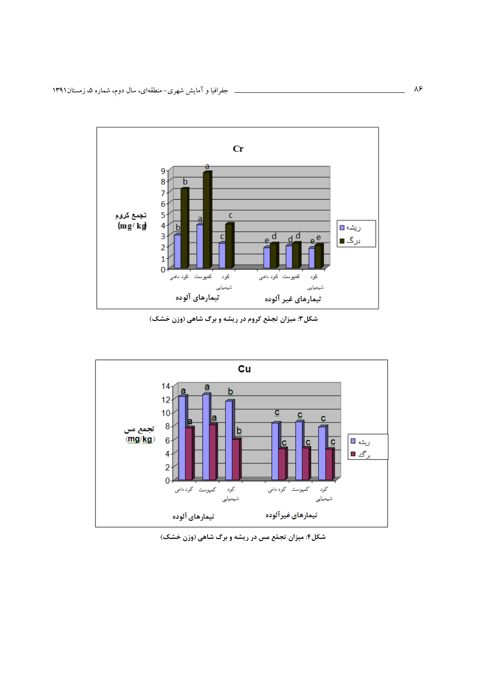

شکل۳: میزان تجمّع کروم در ریشه و برگ شاهی (وزن خشک)



شکل۴: میزان تجمّع مس در ریشه و برگ شاهی (وزن خشک)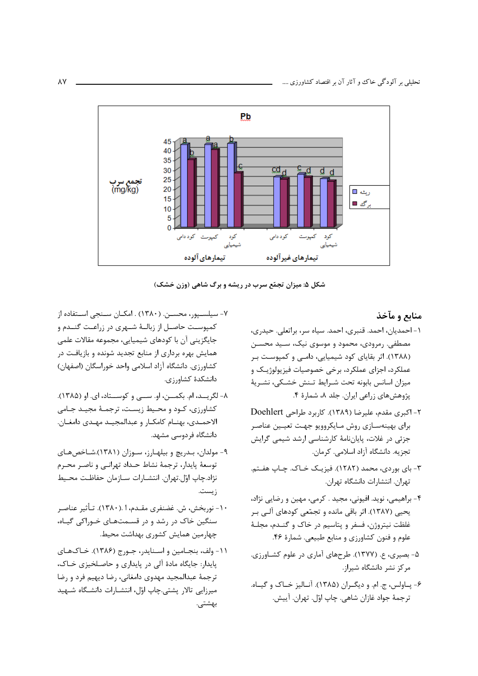

شکل ۵: میزان تجمّع سرب در ریشه و برگ شاهی (وزن خشک)

## منابع و مآخذ

- ١- احمديان، احمد. قنبري، احمد. سياه سر، براتعلي. حيدري، مصطفی. رمرودی، محمود و موسوی نیک، سـید محسـن (۱۳۸۸). اثر بقایای کود شیمیایی، دامـی و کمپوسـت بـر عملکرد، اجزای عملکرد، برخی خصوصیات فیزیولوژیک و ميزان اسانس بابونه تحت شـرايط تـنش خشـكي، نشـريهٔ پژوهشهای زراعی ایران. جلد ۸، شمارهٔ ۴.
- ۲- اکبری مقدم، علیرضا (۱۳۸۹). کاربرد طراحی Doehlert برای بهینهسـازی روش مـایکروویو جهـت تعیـین عناصـر جزئی در غلات، پایاننامهٔ کارشناسی ارشد شیمی گرایش تجزيه. دانشگاه آزاد اسلامي. كرمان.
- ۳- بای بوردی، محمد (۱۲۸۲). فیزیـک خـاک. چـاپ هفـتم. تهران. انتشارات دانشگاه تهران.
- ۴- براهیمی، نوید. افیونی، مجید . کرمی، مهین و رضایی نژاد، یحیی (۱۳۸۷). اثر باقی مانده و تجمّعی کودهای آلبی بـر غلظت نيتروژن، فسفر و پتاسيم در خاک و گنـدم، مجلـهٔ علوم و فنون كشاورزي و منابع طبيعي. شمارة ۴۶.
- ۵- بصیری، ع. (۱۳۷۷). طرحهای آماری در علوم کشـاورزی. مرکز نشر دانشگاه شیراز.
- ۶- پياولس، ج. ام. و ديگيران (۱۳۸۵). آنياليز خياک و گيباه. ترجمهٔ جواد غازان شاهي. چاپ اوّل. تهران. آييش.
- ۷- سیلسـپور، محسـن. (۱۳۸۰) . امکــان ســنجی اســتفاده از كمپوست حاصـل از زبالـهٔ شـهری در زراعـت گنــدم و جایگزینی آن با کودهای شیمیایی، مجموعه مقالات علمی همایش بهره برداری از منابع تجدید شونده و بازیافت در كشاورزي. دانشگاه آزاد اسلامي واحد خوراسگان (اصفهان) دانشكدهٔ كشاورزي.
- ۸- لگريـــد، ام. بكمـــن، او. ســـى و كوســـتاد، اى. او (۱۳۸۵). کشاورزی، کـود و محـیط زیسـت، ترجمـهٔ مجیـد جـامی الاحمـدي، بهنـام كامكـار و عبدالمجيـد مهـدي دامغـان. دانشگاه فردوسی مشهد.
- ۹- مولدان، بـدریچ و بیلهـارز، سـوزان (۱۳۸۱).شـاخصهـای توسعهٔ پایدار، ترجمهٔ نشاط حـداد تهرانـی و ناصـر محـرم نژاد.چاپ اوّل.تهران. انتشـارات سـازمان حفاظـت محـيط زيست.
- ۱۰- نوربخش، ش. غضنفري مقـدم، ۱ .(۱۳۸۰). تـأثير عناصـر سنگین خاک در رشد و در قسـمتهـای خـوراکی گیـاه، چهارمین همایش کشوری بهداشت محیط.
- ١١- ولف، بنجـامين و اسـنايدر، جـورج (١٣٨۶). خـاکـهـای پایدار: جایگاه مادهٔ آلی در پایداری و حاصلخیزی خاک، ترجمة عبدالمجيد مهدوى دامغاني، رضا ديهيم فرد و رضا میرزایی تالار پشتی.چاپ اوّل، انتشـارات دانشـگاه شـهید بهشتی.